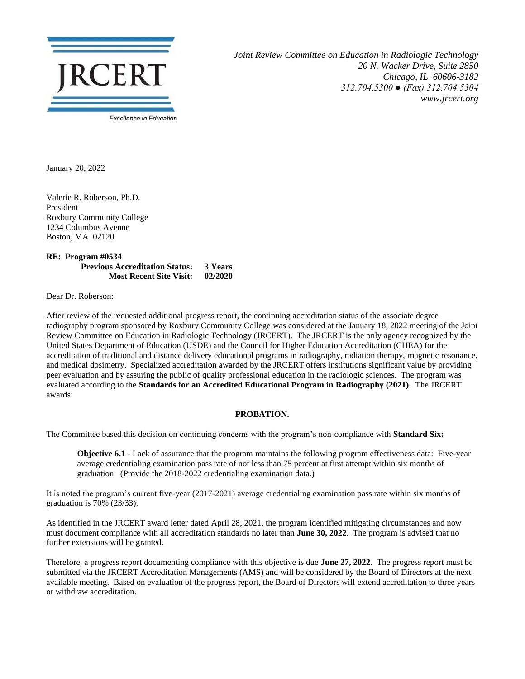

*Joint Review Committee on Education in Radiologic Technology 20 N. Wacker Drive, Suite 2850 Chicago, IL 60606-3182 312.704.5300 ● (Fax) 312.704.5304 www.jrcert.org*

January 20, 2022

Valerie R. Roberson, Ph.D. President Roxbury Community College 1234 Columbus Avenue Boston, MA 02120

**RE: Program #0534 Previous Accreditation Status: 3 Years Most Recent Site Visit: 02/2020**

Dear Dr. Roberson:

After review of the requested additional progress report, the continuing accreditation status of the associate degree radiography program sponsored by Roxbury Community College was considered at the January 18, 2022 meeting of the Joint Review Committee on Education in Radiologic Technology (JRCERT). The JRCERT is the only agency recognized by the United States Department of Education (USDE) and the Council for Higher Education Accreditation (CHEA) for the accreditation of traditional and distance delivery educational programs in radiography, radiation therapy, magnetic resonance, and medical dosimetry. Specialized accreditation awarded by the JRCERT offers institutions significant value by providing peer evaluation and by assuring the public of quality professional education in the radiologic sciences. The program was evaluated according to the **Standards for an Accredited Educational Program in Radiography (2021)**. The JRCERT awards:

## **PROBATION.**

The Committee based this decision on continuing concerns with the program's non-compliance with **Standard Six:**

**Objective 6.1** - Lack of assurance that the program maintains the following program effectiveness data: Five-year average credentialing examination pass rate of not less than 75 percent at first attempt within six months of graduation. (Provide the 2018-2022 credentialing examination data.)

It is noted the program's current five-year (2017-2021) average credentialing examination pass rate within six months of graduation is 70% (23/33).

As identified in the JRCERT award letter dated April 28, 2021, the program identified mitigating circumstances and now must document compliance with all accreditation standards no later than **June 30, 2022**. The program is advised that no further extensions will be granted.

Therefore, a progress report documenting compliance with this objective is due **June 27, 2022**. The progress report must be submitted via the JRCERT Accreditation Managements (AMS) and will be considered by the Board of Directors at the next available meeting. Based on evaluation of the progress report, the Board of Directors will extend accreditation to three years or withdraw accreditation.